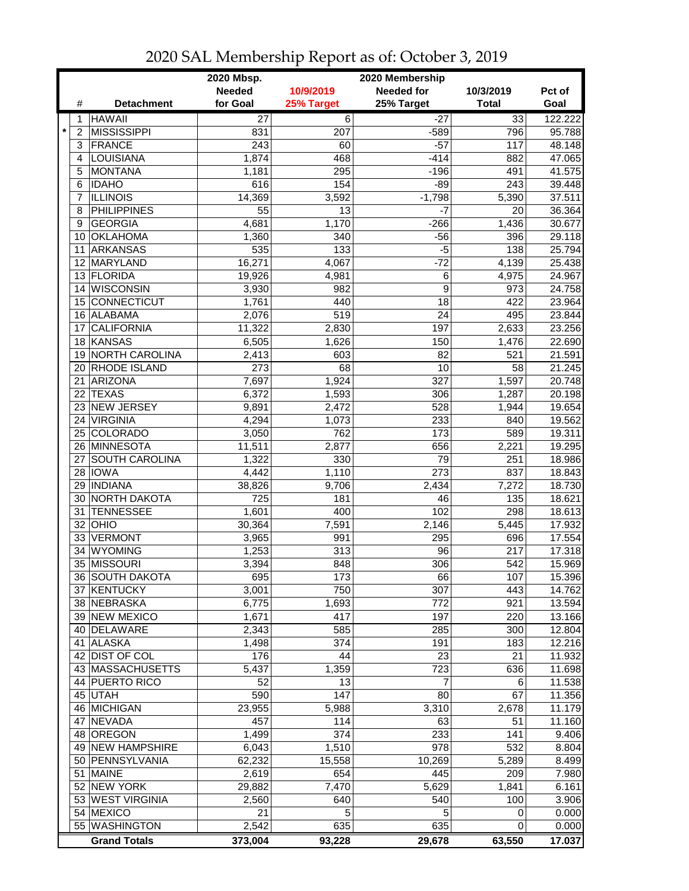|                           |                      | 2020 Mbsp.<br>2020 Membership |                |                   |              |         |
|---------------------------|----------------------|-------------------------------|----------------|-------------------|--------------|---------|
|                           |                      | <b>Needed</b>                 | 10/9/2019      | <b>Needed for</b> | 10/3/2019    | Pct of  |
| #                         | <b>Detachment</b>    | for Goal                      | 25% Target     | 25% Target        | <b>Total</b> | Goal    |
| 1                         | <b>HAWAII</b>        | 27                            | $\overline{6}$ | $-27$             | 33           | 122.222 |
| $\star$<br>$\overline{2}$ | <b>MISSISSIPPI</b>   | 831                           | 207            | $-589$            | 796          | 95.788  |
| 3                         | <b>FRANCE</b>        | 243                           | 60             | $-57$             | 117          | 48.148  |
| 4                         | LOUISIANA            | 1,874                         | 468            | $-414$            | 882          | 47.065  |
| 5                         | <b>MONTANA</b>       | 1,181                         | 295            | $-196$            | 491          | 41.575  |
| 6                         | <b>IDAHO</b>         | 616                           | 154            | $-89$             | 243          | 39.448  |
| 7                         | <b>ILLINOIS</b>      | 14,369                        | 3,592          | $-1,798$          | 5,390        | 37.511  |
| 8                         | <b>PHILIPPINES</b>   | 55                            | 13             | $-7$              | 20           | 36.364  |
| 9                         | <b>GEORGIA</b>       | 4,681                         | 1,170          | $-266$            | 1,436        | 30.677  |
| 10                        | <b>OKLAHOMA</b>      | 1,360                         | 340            | $-56$             | 396          | 29.118  |
| 11                        | ARKANSAS             | 535                           | 133            | $-5$              | 138          | 25.794  |
| 12                        | <b>MARYLAND</b>      | 16,271                        | 4,067          | $-72$             | 4,139        | 25.438  |
| 13                        | FLORIDA              | 19,926                        | 4,981          | 6                 | 4,975        | 24.967  |
| 14                        | <b>WISCONSIN</b>     | 3,930                         | 982            | 9                 | 973          | 24.758  |
| 15                        | <b>CONNECTICUT</b>   | 1,761                         | 440            | 18                | 422          | 23.964  |
| 16                        | ALABAMA              | 2,076                         | 519            | 24                | 495          | 23.844  |
| 17                        | <b>CALIFORNIA</b>    | 11,322                        | 2,830          | 197               | 2,633        | 23.256  |
|                           | 18 KANSAS            | 6,505                         | 1,626          | 150               | 1,476        | 22.690  |
| 19                        | NORTH CAROLINA       | 2,413                         | 603            | 82                | 521          | 21.591  |
| 20                        | <b>RHODE ISLAND</b>  | 273                           | 68             | 10                | 58           | 21.245  |
| 21                        | <b>ARIZONA</b>       | 7,697                         | 1,924          | 327               | 1,597        | 20.748  |
| 22                        | <b>TEXAS</b>         | 6,372                         |                |                   | 1,287        | 20.198  |
| 23                        | <b>NEW JERSEY</b>    |                               | 1,593          | 306<br>528        |              | 19.654  |
|                           | <b>VIRGINIA</b>      | 9,891<br>4,294                | 2,472          | 233               | 1,944<br>840 | 19.562  |
| 24                        | COLORADO             |                               | 1,073          | 173               |              |         |
| 25                        | MINNESOTA            | 3,050                         | 762            |                   | 589          | 19.311  |
| 26                        |                      | 11,511                        | 2,877<br>330   | 656               | 2,221        | 19.295  |
| 27                        | SOUTH CAROLINA       | 1,322                         |                | 79                | 251          | 18.986  |
|                           | 28 <b>IOWA</b>       | 4,442                         | 1,110          | 273               | 837          | 18.843  |
| 29                        | <b>INDIANA</b>       | 38,826                        | 9,706          | 2,434             | 7,272        | 18.730  |
| 30                        | NORTH DAKOTA         | 725                           | 181            | 46                | 135          | 18.621  |
| 31                        | <b>TENNESSEE</b>     | 1,601                         | 400            | 102               | 298          | 18.613  |
| 32                        | OHIO                 | 30,364                        | 7,591          | 2,146             | 5,445        | 17.932  |
| 33                        | <b>VERMONT</b>       | 3,965                         | 991            | 295               | 696          | 17.554  |
| 34                        | <b>WYOMING</b>       | 1,253                         | 313            | 96                | 217          | 17.318  |
| 35                        | <b>MISSOURI</b>      | 3,394                         | 848            | 306               | 542          | 15.969  |
|                           | 36 SOUTH DAKOTA      | 695                           | 173            | 66                | 107          | 15.396  |
|                           | 37 KENTUCKY          | 3,001                         | 750            | 307               | 443          | 14.762  |
|                           | 38 NEBRASKA          | 6,775                         | 1,693          | 772               | 921          | 13.594  |
|                           | 39 NEW MEXICO        | 1,671                         | 417            | 197               | 220          | 13.166  |
| 40                        | DELAWARE             | 2,343                         | 585            | 285               | 300          | 12.804  |
| 41                        | <b>ALASKA</b>        | 1,498                         | 374            | 191               | 183          | 12.216  |
|                           | 42 DIST OF COL       | 176                           | 44             | 23                | 21           | 11.932  |
|                           | 43 MASSACHUSETTS     | 5,437                         | 1,359          | 723               | 636          | 11.698  |
|                           | 44 PUERTO RICO       | 52                            | 13             | 7                 | 6            | 11.538  |
|                           | 45 UTAH              | 590                           | 147            | 80                | 67           | 11.356  |
|                           | 46 MICHIGAN          | 23,955                        | 5,988          | 3,310             | 2,678        | 11.179  |
|                           | 47 NEVADA            | 457                           | 114            | 63                | 51           | 11.160  |
|                           | 48 OREGON            | 1,499                         | 374            | 233               | 141          | 9.406   |
| 49                        | <b>NEW HAMPSHIRE</b> | 6,043                         | 1,510          | 978               | 532          | 8.804   |
|                           | 50 PENNSYLVANIA      | 62,232                        | 15,558         | 10,269            | 5,289        | 8.499   |
| 51                        | <b>MAINE</b>         | 2,619                         | 654            | 445               | 209          | 7.980   |
|                           | 52 NEW YORK          | 29,882                        | 7,470          | 5,629             | 1,841        | 6.161   |
|                           | 53 WEST VIRGINIA     | 2,560                         | 640            | 540               | 100          | 3.906   |
|                           | 54 MEXICO            | 21                            | 5              | 5                 | 0            | 0.000   |
|                           | 55 WASHINGTON        | 2,542                         | 635            | 635               | 0            | 0.000   |
|                           | <b>Grand Totals</b>  | 373,004                       | 93,228         | 29,678            | 63,550       | 17.037  |

## 2020 SAL Membership Report as of: October 3, 2019